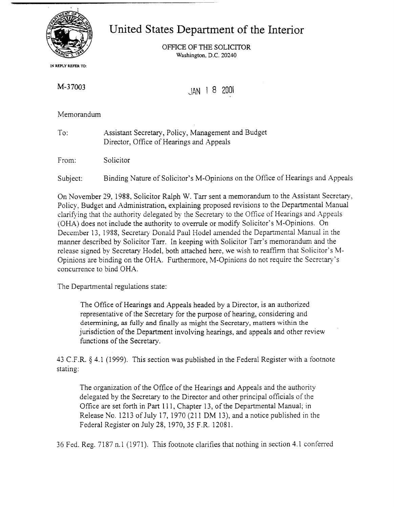

United States Department of the Interior

OFFICE OF THE SOLICITOR **Washington, D.C.20240** 

**IN REPLY REFER TO:** 

M-37003

JAN 1 8 <sup>2001</sup>

Memorandum

To: Assistant Secretary, Policy, Management and Budget Director, Office of Hearings and Appeals

From: Solicitor

Subject: Binding Nature of Solicitor's M-Opinions on the Office of Hearings and Appeals

On November 29, 1988, Solicitor Ralph W. Tarr sent a memorandum to the Assistant Secretary, Policy, Budget and Administration, explaining proposed revisions to the Departmental Manual clarifying that the authority delegated by the Secretary to the Office of Hearings and Appeals (OHA) does not include the authority to overrule or modify Solicitor's M-Opinions. On December 13, 1988, Secretary Donald Paul Hodel amended the Departmental Manual in the manner described by Solicitor Tarr. In keeping with Solicitor Tarr's memorandum and the release signed by Secretary Hodel, both attached here, we wish to reaffirm that Solicitor's M-Opinions are binding on the OHA. Furthermore, M-Opinions do not require the Secretary's concurrence to bind OHA.

The Departmental regulations state:

The Office of Hearings and Appeals headed by a Director, is an authorized representative of the Secretary for the purpose of hearing, considering and determining, as fully **and** finally as might the Secretary, matters within the jurisdiction of the Department involving hearings, and appeals and other review functions of the Secretary.

43 C.F.R. *5* 4.1 (1999). This section was published in the Federal Register with a footnote stating:

The organization of the Office of the Hearings and Appeals and the authority delegated by the Secretary to the Director and other principal officials of the Office are set forth in Part 111, Chapter 13, of the Departmental Manual; in Release No. 1213 of July 17, 1970 (211 DM 13), and a notice published in the Federal Register on July 28, 1970, 35 F.R. 1208 1.

36 Fed. Reg. 7187 n.l (1971). This footnote clarifies that nothing in section 4.1 conferred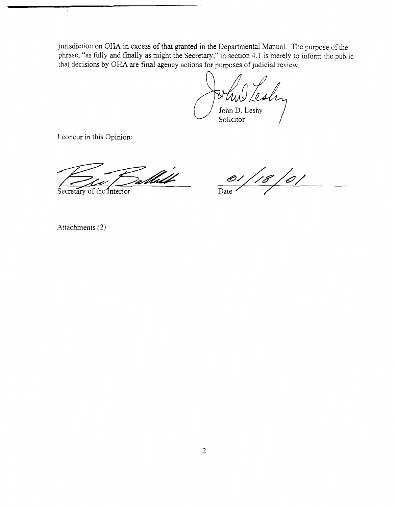jurisdiction on OHA in excess of that granted in the Departmental Manual. The purpose of the phrase, "as fully and finally as might the Secretary," in section 4.1 is merely to inform the public that decisions by OHA are final agency actions for purposes of judicial review. signation on OHA in excess of that granted in the Departmental Manual. The purpose of the phrase, "as fully and finally as might the Secretary," in section 4.1 is merely to inform the public that decisions by OHA are fina

I concur in this Opinion:

Attachments (2)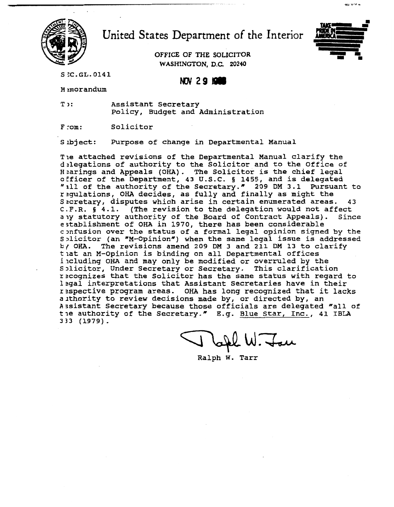

United States Department of the Interior

**WASHINGTON, D.C. 20240** 



-- \* **uu,**

SCC.GL.0141

NOV 29 1988

Memorandum

**T 1: Assistant Secretary Policy, Budget and Administration** 

**F rom: Solicitor** 

**Sbject: Purpose of change in Departmental Manual** 

**Tie attached revisions of the Departmental Manual clarify the dzlegations of authority to the Solicitor and to the Office of Hzarings and Appeals (OHA). The Solicitor is the chief legal oEficer of the Department, 43 U.S.C. 5 1455, and is delegated "111 of the authority of the Secretary." 209 DM 3.1 Pursuant to rqulations, OHA decides, as fully and finally as might the S.cretary, disputes which arise in certain enumerated areas. 43 C.F.R. 5 4.1. (The revision to the delegation would not affect**  aly **statutory authority of the Board of Contract Appeals). Since e;tablishment of OHA in 1970, there has been considerable cnfusion over the status of a formal legal opinion signed by the**  Solicitor (an "M-Opinion") when the same legal issue is addressed **by OHA. The revisions amend 209 DM 3 and 211 DM 13 to clarify**  that an M-Opinion is binding on all Departmental offices including OHA and may only be modified or overruled by the **S>licitor, Under Secretary or Secretary. This clarification rxognizes that the Solicitor has the same status with regard to lzgal interpretations that Assistant Secretaries have in their r?spective program areas. OHA has long recognized that it lacks aithority to review decisions made by, or directed by, an**  Assistant Secretary because those officials are delegated "all of **tle authority of the Secretary." E.g. Blue Star, Inc., 41 IBLA 333 (1979).** 

tou

**Ralph W. Tarr**